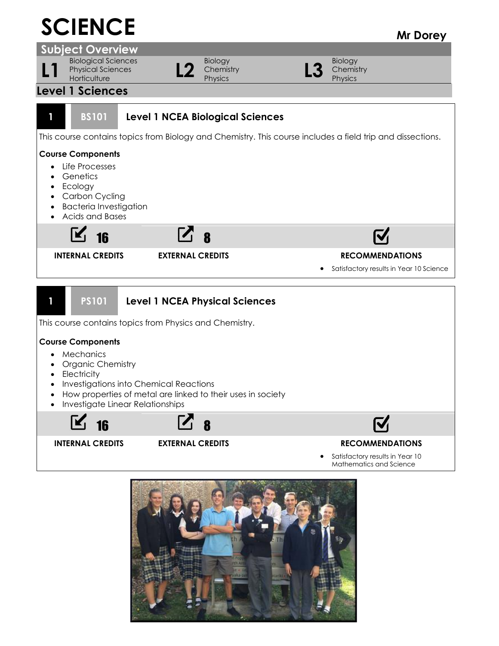## **SCIENCE Mr Dorey**

**Subject Overview**



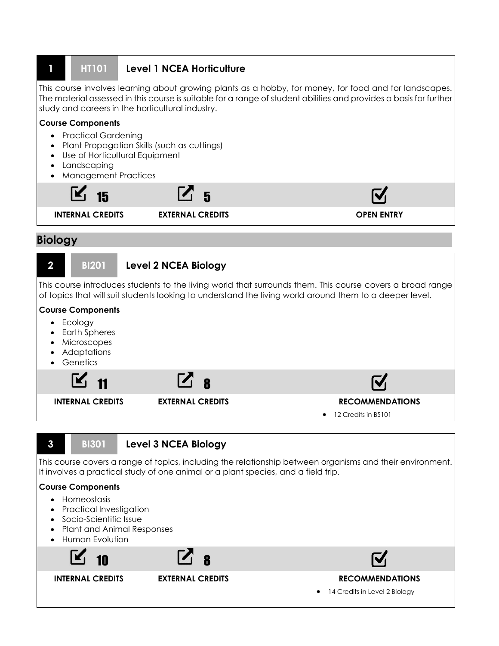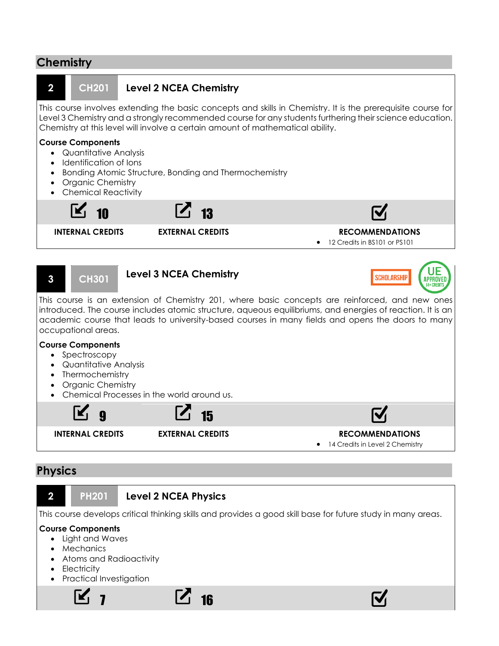## **Chemistry**



 $\overline{\mathbf{v}}$ 

• Practical Investigation